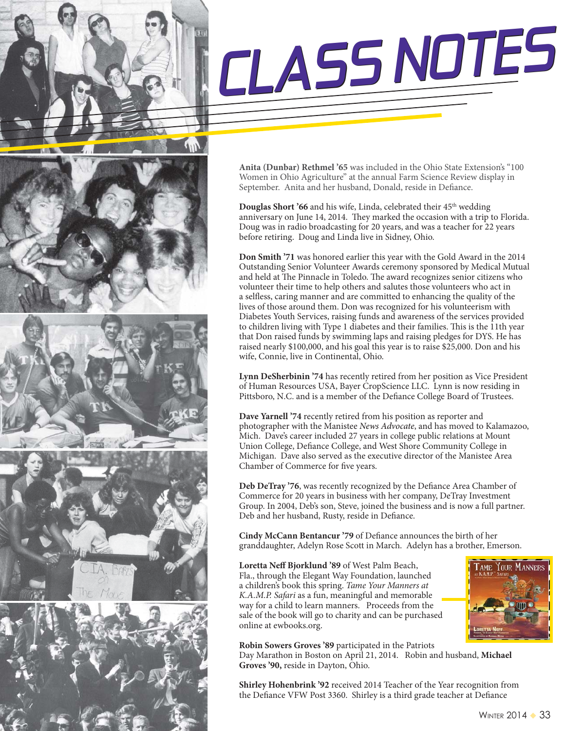











**Anita (Dunbar) Rethmel '65** was included in the Ohio State Extension's "100 Women in Ohio Agriculture" at the annual Farm Science Review display in September. Anita and her husband, Donald, reside in Defiance.

**Douglas Short '66** and his wife, Linda, celebrated their 45<sup>th</sup> wedding anniversary on June 14, 2014. They marked the occasion with a trip to Florida. Doug was in radio broadcasting for 20 years, and was a teacher for 22 years before retiring. Doug and Linda live in Sidney, Ohio.

**Don Smith '71** was honored earlier this year with the Gold Award in the 2014 Outstanding Senior Volunteer Awards ceremony sponsored by Medical Mutual and held at The Pinnacle in Toledo. The award recognizes senior citizens who volunteer their time to help others and salutes those volunteers who act in a selfless, caring manner and are committed to enhancing the quality of the lives of those around them. Don was recognized for his volunteerism with Diabetes Youth Services, raising funds and awareness of the services provided to children living with Type 1 diabetes and their families. This is the 11th year that Don raised funds by swimming laps and raising pledges for DYS. He has raised nearly \$100,000, and his goal this year is to raise \$25,000. Don and his wife, Connie, live in Continental, Ohio.

**Lynn DeSherbinin '74** has recently retired from her position as Vice President of Human Resources USA, Bayer CropScience LLC. Lynn is now residing in Pittsboro, N.C. and is a member of the Defiance College Board of Trustees.

**Dave Yarnell '74** recently retired from his position as reporter and photographer with the Manistee News Advocate, and has moved to Kalamazoo, Mich. Dave's career included 27 years in college public relations at Mount Union College, Defiance College, and West Shore Community College in Michigan. Dave also served as the executive director of the Manistee Area Chamber of Commerce for five years.

**Deb DeTray '76**, was recently recognized by the Defiance Area Chamber of Commerce for 20 years in business with her company, DeTray Investment Group. In 2004, Deb's son, Steve, joined the business and is now a full partner. Deb and her husband, Rusty, reside in Defiance.

**Cindy McCann Bentancur '79** of Defiance announces the birth of her granddaughter, Adelyn Rose Scott in March. Adelyn has a brother, Emerson.

**Loretta Neff Bjorklund '89** of West Palm Beach, Fla., through the Elegant Way Foundation, launched a children's book this spring. Tame Your Manners at K.A.M.P. Safari as a fun, meaningful and memorable way for a child to learn manners. Proceeds from the sale of the book will go to charity and can be purchased online at ewbooks.org.



**Robin Sowers Groves '89** participated in the Patriots Day Marathon in Boston on April 21, 2014. Robin and husband, **Michael Groves '90,** reside in Dayton, Ohio.

**Shirley Hohenbrink '92** received 2014 Teacher of the Year recognition from the Defiance VFW Post 3360. Shirley is a third grade teacher at Defiance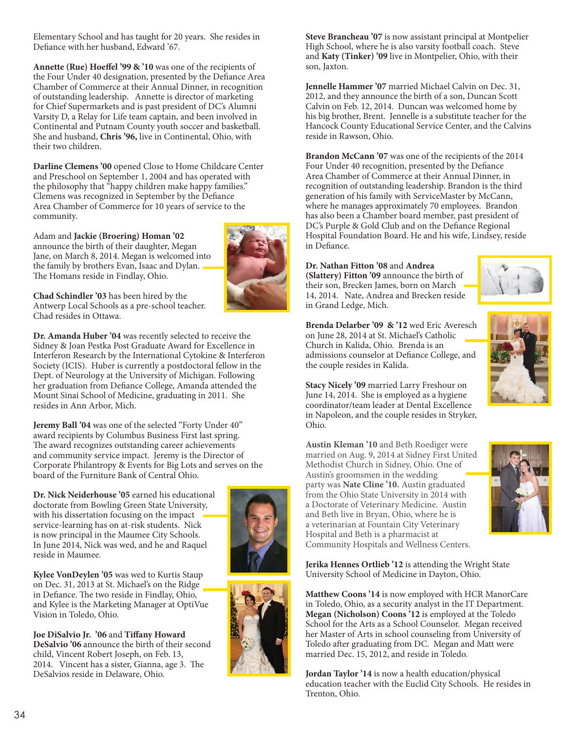Elementary School and has taught for 20 years. She resides in Defiance with her husband, Edward '67.

**Annette (Rue) Hoeffel '99 & '10** was one of the recipients of the Four Under 40 designation, presented by the Defiance Area Chamber of Commerce at their Annual Dinner, in recognition of outstanding leadership. Annette is director of marketing for Chief Supermarkets and is past president of DC's Alumni Varsity D, a Relay for Life team captain, and been involved in Continental and Putnam County youth soccer and basketball. She and husband, **Chris '96,** live in Continental, Ohio, with their two children.

**Darline Clemens '00** opened Close to Home Childcare Center and Preschool on September 1, 2004 and has operated with the philosophy that "happy children make happy families." Clemens was recognized in September by the Defiance Area Chamber of Commerce for 10 years of service to the community.

## Adam and **Jackie (Broering) Homan '02**

announce the birth of their daughter, Megan Jane, on March 8, 2014. Megan is welcomed into the family by brothers Evan, Isaac and Dylan. The Homans reside in Findlay, Ohio.



**Chad Schindler '03** has been hired by the Antwerp Local Schools as a pre-school teacher. Chad resides in Ottawa.

**Dr. Amanda Huber '04** was recently selected to receive the Sidney & Joan Pestka Post Graduate Award for Excellence in Interferon Research by the International Cytokine & Interferon Society (ICIS). Huber is currently a postdoctoral fellow in the Dept. of Neurology at the University of Michigan. Following her graduation from Defiance College, Amanda attended the Mount Sinai School of Medicine, graduating in 2011. She resides in Ann Arbor, Mich.

**Jeremy Ball '04** was one of the selected "Forty Under 40" award recipients by Columbus Business First last spring. The award recognizes outstanding career achievements and community service impact. Jeremy is the Director of Corporate Philantropy & Events for Big Lots and serves on the board of the Furniture Bank of Central Ohio.

**Dr. Nick Neiderhouse '05** earned his educational doctorate from Bowling Green State University, with his dissertation focusing on the impact service-learning has on at-risk students. Nick is now principal in the Maumee City Schools. In June 2014, Nick was wed, and he and Raquel reside in Maumee.



**Kylee VonDeylen '05** was wed to Kurtis Staup on Dec. 31, 2013 at St. Michael's on the Ridge in Defiance. The two reside in Findlay, Ohio, and Kylee is the Marketing Manager at OptiVue Vision in Toledo, Ohio.

**Joe DiSalvio Jr. '06** and **Tiffany Howard DeSalvio '06** announce the birth of their second child, Vincent Robert Joseph, on Feb. 13, 2014. Vincent has a sister, Gianna, age 3. The DeSalvios reside in Delaware, Ohio.



**Steve Brancheau '07** is now assistant principal at Montpelier High School, where he is also varsity football coach. Steve and **Katy (Tinker) '09** live in Montpelier, Ohio, with their son, Jaxton.

**Jennelle Hammer '07** married Michael Calvin on Dec. 31, 2012, and they announce the birth of a son, Duncan Scott Calvin on Feb. 12, 2014. Duncan was welcomed home by his big brother, Brent. Jennelle is a substitute teacher for the Hancock County Educational Service Center, and the Calvins reside in Rawson, Ohio.

**Brandon McCann '07** was one of the recipients of the 2014 Four Under 40 recognition, presented by the Defiance Area Chamber of Commerce at their Annual Dinner, in recognition of outstanding leadership. Brandon is the third generation of his family with ServiceMaster by McCann, where he manages approximately 70 employees. Brandon has also been a Chamber board member, past president of DC's Purple & Gold Club and on the Defiance Regional Hospital Foundation Board. He and his wife, Lindsey, reside in Defiance.

**Dr. Nathan Fitton '08** and **Andrea (Slattery) Fitton '09** announce the birth of their son, Brecken James, born on March 14, 2014. Nate, Andrea and Brecken reside in Grand Ledge, Mich.



**Brenda Delarber '09 & '12** wed Eric Averesch on June 28, 2014 at St. Michael's Catholic Church in Kalida, Ohio. Brenda is an admissions counselor at Defiance College, and the couple resides in Kalida.

**Stacy Nicely '09** married Larry Freshour on June 14, 2014. She is employed as a hygiene coordinator/team leader at Dental Excellence in Napoleon, and the couple resides in Stryker, Ohio.

**Austin Kleman '10** and Beth Roediger were married on Aug. 9, 2014 at Sidney First United Methodist Church in Sidney, Ohio. One of Austin's groomsmen in the wedding party was **Nate Cline '10.** Austin graduated from the Ohio State University in 2014 with a Doctorate of Veterinary Medicine. Austin and Beth live in Bryan, Ohio, where he is a veterinarian at Fountain City Veterinary Hospital and Beth is a pharmacist at Community Hospitals and Wellness Centers.



**Jerika Hennes Ortlieb '12** is attending the Wright State University School of Medicine in Dayton, Ohio.

**Matthew Coons '14** is now employed with HCR ManorCare in Toledo, Ohio, as a security analyst in the IT Department. **Megan (Nicholson) Coons '12** is employed at the Toledo School for the Arts as a School Counselor. Megan received her Master of Arts in school counseling from University of Toledo after graduating from DC. Megan and Matt were married Dec. 15, 2012, and reside in Toledo.

**Jordan Taylor '14** is now a health education/physical education teacher with the Euclid City Schools. He resides in Trenton, Ohio.